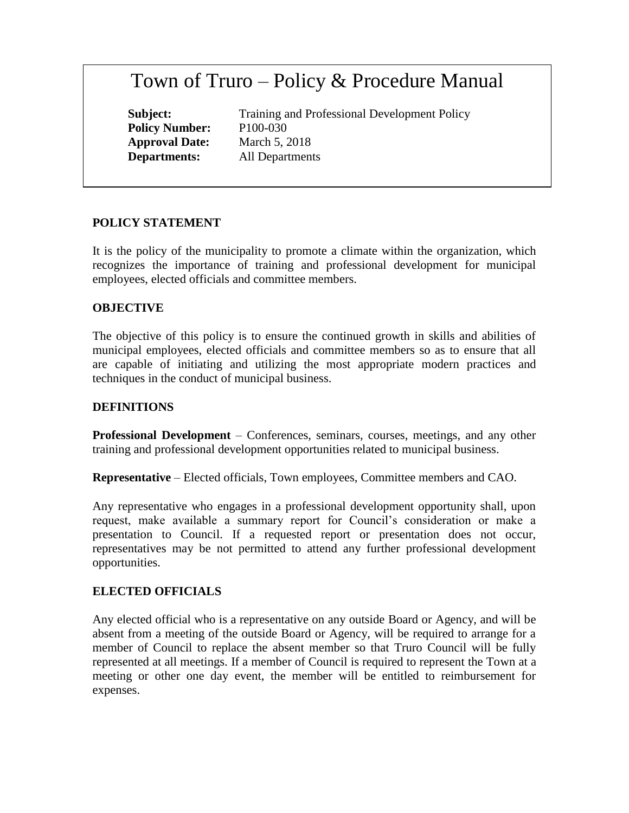# Town of Truro – Policy & Procedure Manual

**Policy Number:** P100-030 **Approval Date:** March 5, 2018

**Subject:** Training and Professional Development Policy **Departments:** All Departments

## **POLICY STATEMENT**

It is the policy of the municipality to promote a climate within the organization, which recognizes the importance of training and professional development for municipal employees, elected officials and committee members.

#### **OBJECTIVE**

The objective of this policy is to ensure the continued growth in skills and abilities of municipal employees, elected officials and committee members so as to ensure that all are capable of initiating and utilizing the most appropriate modern practices and techniques in the conduct of municipal business.

#### **DEFINITIONS**

**Professional Development** – Conferences, seminars, courses, meetings, and any other training and professional development opportunities related to municipal business.

**Representative** – Elected officials, Town employees, Committee members and CAO.

Any representative who engages in a professional development opportunity shall, upon request, make available a summary report for Council's consideration or make a presentation to Council. If a requested report or presentation does not occur, representatives may be not permitted to attend any further professional development opportunities.

#### **ELECTED OFFICIALS**

Any elected official who is a representative on any outside Board or Agency, and will be absent from a meeting of the outside Board or Agency, will be required to arrange for a member of Council to replace the absent member so that Truro Council will be fully represented at all meetings. If a member of Council is required to represent the Town at a meeting or other one day event, the member will be entitled to reimbursement for expenses.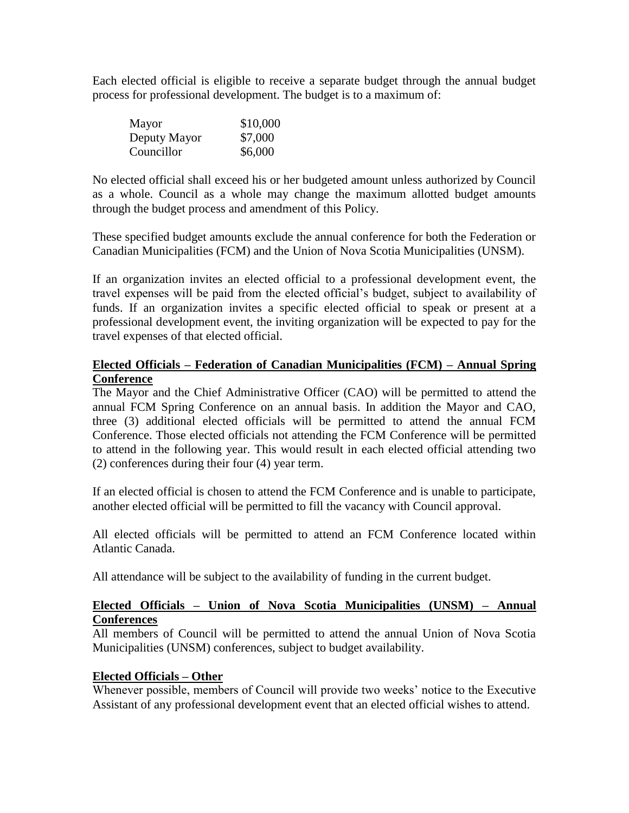Each elected official is eligible to receive a separate budget through the annual budget process for professional development. The budget is to a maximum of:

| Mayor        | \$10,000 |
|--------------|----------|
| Deputy Mayor | \$7,000  |
| Councillor   | \$6,000  |

No elected official shall exceed his or her budgeted amount unless authorized by Council as a whole. Council as a whole may change the maximum allotted budget amounts through the budget process and amendment of this Policy.

These specified budget amounts exclude the annual conference for both the Federation or Canadian Municipalities (FCM) and the Union of Nova Scotia Municipalities (UNSM).

If an organization invites an elected official to a professional development event, the travel expenses will be paid from the elected official's budget, subject to availability of funds. If an organization invites a specific elected official to speak or present at a professional development event, the inviting organization will be expected to pay for the travel expenses of that elected official.

#### **Elected Officials – Federation of Canadian Municipalities (FCM) – Annual Spring Conference**

The Mayor and the Chief Administrative Officer (CAO) will be permitted to attend the annual FCM Spring Conference on an annual basis. In addition the Mayor and CAO, three (3) additional elected officials will be permitted to attend the annual FCM Conference. Those elected officials not attending the FCM Conference will be permitted to attend in the following year. This would result in each elected official attending two (2) conferences during their four (4) year term.

If an elected official is chosen to attend the FCM Conference and is unable to participate, another elected official will be permitted to fill the vacancy with Council approval.

All elected officials will be permitted to attend an FCM Conference located within Atlantic Canada.

All attendance will be subject to the availability of funding in the current budget.

## **Elected Officials – Union of Nova Scotia Municipalities (UNSM) – Annual Conferences**

All members of Council will be permitted to attend the annual Union of Nova Scotia Municipalities (UNSM) conferences, subject to budget availability.

## **Elected Officials – Other**

Whenever possible, members of Council will provide two weeks' notice to the Executive Assistant of any professional development event that an elected official wishes to attend.